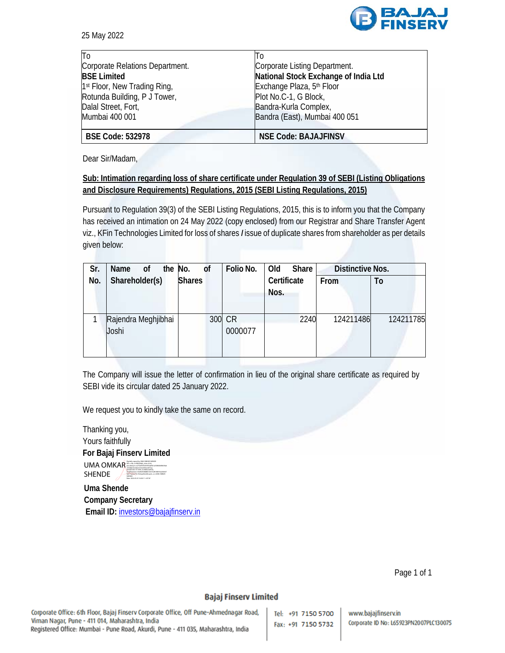

25 May 2022

| To                                       | ll o                                  |
|------------------------------------------|---------------------------------------|
| Corporate Relations Department.          | Corporate Listing Department.         |
| <b>BSE Limited</b>                       | National Stock Exchange of India Ltd  |
| 1 <sup>st</sup> Floor, New Trading Ring, | Exchange Plaza, 5 <sup>th</sup> Floor |
| Rotunda Building, P J Tower,             | Plot No.C-1, G Block,                 |
| Dalal Street, Fort,                      | Bandra-Kurla Complex,                 |
| Mumbai 400 001                           | Bandra (East), Mumbai 400 051         |
|                                          |                                       |
| <b>BSE Code: 532978</b>                  | <b>NSE Code: BAJAJFINSV</b>           |

Dear Sir/Madam,

## **Sub: Intimation regarding loss of share certificate under Regulation 39 of SEBI (Listing Obligations and Disclosure Requirements) Regulations, 2015 (SEBI Listing Regulations, 2015)**

Pursuant to Regulation 39(3) of the SEBI Listing Regulations, 2015, this is to inform you that the Company has received an intimation on 24 May 2022 (copy enclosed) from our Registrar and Share Transfer Agent viz., KFin Technologies Limited for loss of shares *I* issue of duplicate shares from shareholder as per details given below:

| Sr. | Name<br>οf                   | the No.       | <sub>of</sub> | Folio No.         | Old                 | Share | <b>Distinctive Nos.</b> |  |           |
|-----|------------------------------|---------------|---------------|-------------------|---------------------|-------|-------------------------|--|-----------|
| No. | Shareholder(s)               | <b>Shares</b> |               |                   | Certificate<br>Nos. |       | From                    |  | To        |
|     | Rajendra Meghjibhai<br>Joshi |               |               | 300 CR<br>0000077 |                     | 2240  | 124211486               |  | 124211785 |

The Company will issue the letter of confirmation in lieu of the original share certificate as required by SEBI vide its circular dated 25 January 2022.

We request you to kindly take the same on record.

Thanking you, Yours faithfully **For Bajaj Finserv Limited**  UMA OMKAR SHENDE DIGITALLY SHENDE DIGITALLY SIGNED BY UMA SHENDE c40dd6e3e2ebb107cb209eeed57aa, postalCode=411009, st=Maharashtra, serialNumber=36d920508d8616fe762816fb91ba0bfe07 9a571ac0ce73c7622aa00e240caa3c, cn=UMA OMKAR SHENDE Date: 2022.05.25 16:00:11 +05'30'

 **Uma Shende Company Secretary**  Email ID: investors@bajajfinserv.in

Page 1 of 1

## **Bajaj Finserv Limited**